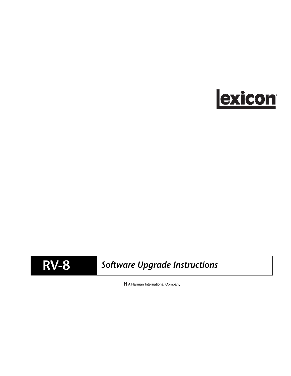

# **RV-8** *Software Upgrade Instructions*

H A Harman International Company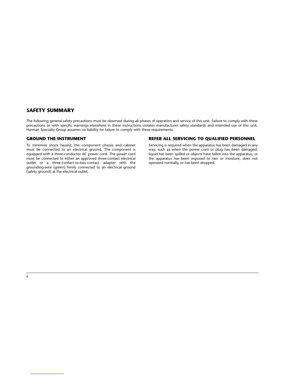#### **SAFETY SUMMARY**

The following general safety precautions must be observed during all phases of operation and service of this unit. Failure to comply with these precautions or with specific warnings elsewhere in these instructions violates manufacturer safety standards and intended use of this unit. Harman Specialty Group assumes no liability for failure to comply with these requirements.

#### **GROUND THE INSTRUMENT**

To minimize shock hazard, the component chassis and cabinet must be connected to an electrical ground. The component is equipped with a three-conductor AC power cord. The power cord must be connected to either an approved three-contact electrical outlet or a three-contact-to-two-contact adapter with the grounding-wire (green) firmly connected to an electrical ground (safety ground) at the electrical outlet.

#### **REFER ALL SERVICING TO QUALIFIED PERSONNEL**

Servicing is required when the apparatus has been damaged in any way, such as when the power cord or plug has been damaged; liquid has been spilled or objects have fallen into the apparatus; or the apparatus has been exposed to rain or moisture, does not operated normally, or has been dropped.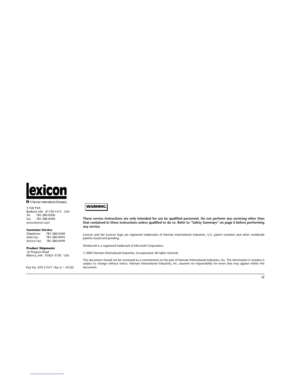

H A Harman International Company

3 Oak Park

Bedford, MA 01730-1413 USA Tel 781-280-0300<br>Fax 781-280-0490 Fax 781-280-0490 www.lexicon.com

**Customer Service**<br>Telephone: 781-280-0300 Telephone:<br>Sales Fax: Sales Fax: 781-280-0495 Service Fax: 781-280-0499

#### **Product Shipments**

16 Progress Road Billerica, MA 01821-5730 USA

Part No. 070-17577 | Rev 0 | 07/05



**These service instructions are only intended for use by qualified personnel. Do not perform any servicing other than that contained in these instructions unless qualified to do so. Refer to "Safety Summary" on page ii before performing any service.**

Lexicon and the Lexicon logo are registered trademarks of Harman International Industries. U.S. patent numbers and other worldwide patents issued and pending.

Windows® is a registered trademark of Microsoft Corporation.

© 2005 Harman International Industries, Incorporated. All rights reserved.

This document should not be construed as a commitment on the part of Harman International Industries, Inc. The information it contains is subject to change without notice. Harman International Industries, Inc. assumes no responsibility for errors that may appear within this document.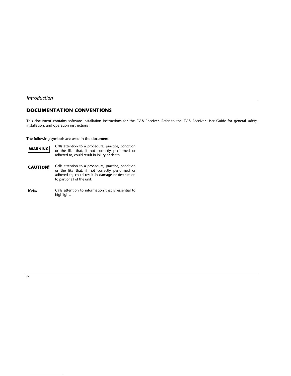#### *Introduction*

#### **DOCUMENTATION CONVENTIONS**

This document contains software installation instructions for the RV-8 Receiver. Refer to the RV-8 Receiver User Guide for general safety, installation, and operation instructions.

#### **The following symbols are used in the document:**



Calls attention to a procedure, practice, condition or the like that, if not correctly performed or adhered to, could result in injury or death.

- Calls attention to a procedure, practice, condition or the like that, if not correctly performed or adhered to, could result in damage or destruction to part or all of the unit. **CAUTION!**
- Calls attention to information that is essential to highlight. *Note:*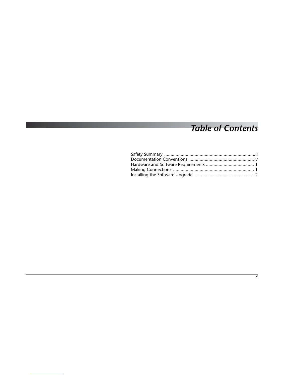## *Table of Contents*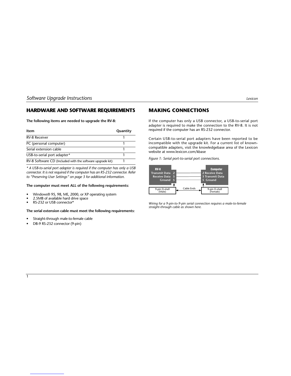## **HARDWARE AND SOFTWARE REQUIREMENTS**

**The following items are needed to upgrade the RV-8:**

| ltem                                                      | Quantity |
|-----------------------------------------------------------|----------|
| <b>RV-8 Receiver</b>                                      |          |
| PC (personal computer)                                    |          |
| Serial extension cable                                    |          |
| USB-to-serial port adapter*                               |          |
| RV-8 Software CD (Included with the software upgrade kit) |          |

*\* A USB-to-serial port adapter is required if the computer has only a USB connector. It is not required if the computer has an RS-232 connector. Refer to "Preserving User Settings" on page 3 for additional information.*

#### **The computer must meet ALL of the following requirements:**

- Windows® 95, 98, ME, 2000, or XP operating system
- 2.5MB of available hard drive space
- RS-232 or USB connector\*

#### **The serial extension cable must meet the following requirements:**

- Straight-through male-to-female cable
- DB-9 RS-232 connector (9-pin)

#### **MAKING CONNECTIONS**

If the computer has only a USB connector, a USB-to-serial port adapter is required to make the connection to the RV-8. It is not required if the computer has an RS-232 connector.

Certain USB-to-serial port adapters have been reported to be incompatible with the upgrade kit. For a current list of knowncompatible adapters, visit the knowledgebase area of the Lexicon website at www.lexicon.com/kbase

*Figure 1: Serial port-to-serial port connections.*



*Wiring for a 9-pin-to-9-pin serial connection requires a male-to-female straight-through cable as shown here.*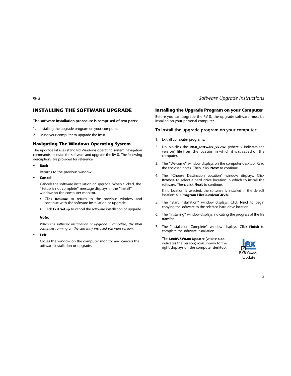#### **INSTALLING THE SOFTWARE UPGRADE**

**The software installation procedure is comprised of two parts:**

- 1. Installing the upgrade program on your computer.
- 2. Using your computer to upgrade the RV-8.

#### **Navigating The Windows Operating System**

The upgrade kit uses standard Windows operating system navigation commands to install the software and upgrade the RV-8. The following descriptions are provided for reference:

- **Back**
	- Returns to the previous window.
- **Cancel**

Cancels the software installation or upgrade. When clicked, the "Setup is not complete" message displays in the "Install" window on the computer monitor.

- Click **Resume** to return to the previous window and continue with the software installation or upgrade.
- Click **Exit Setup** to cancel the software installation or upgrade.

#### *Note:*

*When the software installation or upgrade is cancelled, the RV-8 continues running on the currently installed software version.*

**• Exit**

Closes the window on the computer monitor and cancels the software installation or upgrade.

#### *RV-8 Software Upgrade Instructions*

#### **Installing the Upgrade Program on your Computer**

Before you can upgrade the RV-8, the upgrade software must be installed on your personal computer.

#### **To install the upgrade program on your computer:**

- 1. Exit all computer programs.
- 2. Double-click the **RV-8\_software\_vx.exe** (where x indicates the version) file from the location in which it was saved on the computer.
- 3. The "Welcome" window displays on the computer desktop. Read the enclosed notes. Then, click **Next** to continue.
- 4. The "Choose Destination Location" window displays. Click **Browse** to select a hard drive location in which to install the software. Then, click **Next** to continue.

If no location is selected, the software is installed in the default location: **C:\Program Files\Lexicon\RV8**.

- 5. The "Start Installation" window displays. Click **Next** to begin copying the software to the selected hard drive location.
- 6. The "Installing" window displays indicating the progress of the file transfer.
- 7. The "Installation Complete" window displays. Click **Finish** to complete the software installation.

The **LexRV8Vx.xx Updater** (where x.xx indicates the version) icon shown to the right displays on the computer desktop.

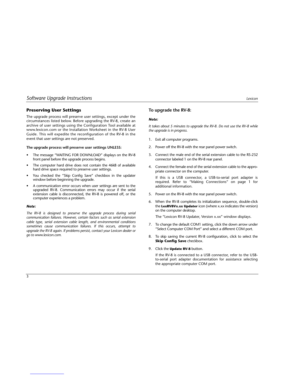#### **Preserving User Settings**

The upgrade process will preserve user settings, except under the circumstances listed below. Before upgrading the RV-8, create an archive of user settings using the Configuration Tool available at www.lexicon.com or the Installation Worksheet in the RV-8 User Guide. This will expedite the reconfiguration of the RV-8 in the event that user settings are not preserved.

#### **The upgrade process will preserve user settings UNLESS:**

- The message "WAITING FOR DOWNLOAD" displays on the RV-8 front panel before the upgrade process begins.
- The computer hard drive does not contain the 46kB of available hard drive space required to preserve user settings.
- You checked the "Skip Config Save" checkbox in the updater window before beginning the upgrade.
- A communication error occurs when user settings are sent to the upgraded RV-8. Communication errors may occur if the serial extension cable is disconnected, the RV-8 is powered off, or the computer experiences a problem.

#### *Note:*

*The RV-8 is designed to preserve the upgrade process during serial communication failures. However, certain factors such as serial extension cable type, serial extension cable length, and environmental conditions sometimes cause communication failures. If this occurs, attempt to upgrade the RV-8 again. If problems persist, contact your Lexicon dealer or go to www.lexicon.com.*

#### **To upgrade the RV-8:**

#### *Note:*

*It takes about 5 minutes to upgrade the RV-8. Do not use the RV-8 while the upgrade is in progress.*

- 1. Exit all computer programs.
- 2. Power off the RV-8 with the rear panel power switch.
- 3. Connect the male end of the serial extension cable to the RS-232 connector labeled 1 on the RV-8 rear panel.
- 4. Connect the female end of the serial extension cable to the appropriate connector on the computer.

If this is a USB connector, a USB-to-serial port adapter is required. Refer to "Making Connections" on page 1 for additional information.

- 5. Power on the RV-8 with the rear panel power switch.
- 6. When the RV-8 completes its initialization sequence, double-click the **LexRV8Vx.xx Updater** icon (where x.xx indicates the version) on the computer desktop.

The "Lexicon RV-8 Updater, Version x.xx" window displays.

- 7. To change the default COM1 setting, click the down arrow under "Select Computer COM Port" and select a different COM port.
- 8. To skip saving the current RV-8 configuration, click to select the **Skip Config Save** checkbox.
- 9. Click the **Update RV-8** button.

If the RV-8 is connected to a USB connector, refer to the USBto-serial port adapter documentation for assistance selecting the appropriate computer COM port.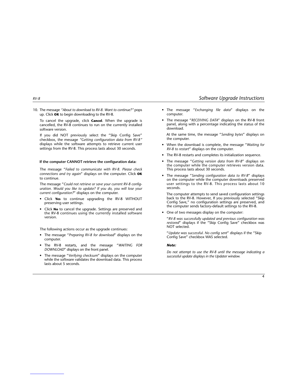10. The message *"About to download to RV-8. Want to continue?"* pops up. Click **OK** to begin downloading to the RV-8.

To cancel the upgrade, click **Cancel**. When the upgrade is cancelled, the RV-8 continues to run on the currently installed software version.

If you did NOT previously select the "Skip Config Save" checkbox, the message *"Getting configuration data from RV-8"* displays while the software attempts to retrieve current user settings from the RV-8. This process lasts about 30 seconds.

#### **If the computer CANNOT retrieve the configuration data:**

The message "*Failed to communicate with RV-8. Please check connections and try again*" displays on the computer. Click **OK** to continue.

The message "*Could not retrieve or save your current RV-8 configuration. Would you like to update? If you do, you will lose your current configuration?*" displays on the computer.

- Click **Yes** to continue upgrading the RV-8 WITHOUT preserving user settings.
- Click **No** to cancel the upgrade. Settings are preserved and the RV-8 continues using the currently installed software version.

The following actions occur as the upgrade continues:

- The message "*Preparing RV-8 for download*" displays on the computer.
- The RV-8 restarts, and the message "*WAITING FOR DOWNLOAD*" displays on the front panel.
- The message "*Verifying checksum*" displays on the computer while the software validates the download data. This process lasts about 5 seconds.
- *RV-8 Software Upgrade Instructions*
	- The message "*Exchanging file data*" displays on the computer.
	- The message "*RECEIVING DATA*" displays on the RV-8 front panel, along with a percentage indicating the status of the download.

At the same time, the message "*Sending bytes*" displays on the computer.

- When the download is complete, the message "*Waiting for RV-8 to restart*" displays on the computer.
- The RV-8 restarts and completes its initialization sequence.
- The message "*Getting version data from RV-8*" displays on the computer while the computer retrieves version data. This process lasts about 30 seconds.
- The message "*Sending configuration data to RV-8*" displays on the computer while the computer downloads preserved user settings to the RV-8. This process lasts about 10 seconds.

The computer attempts to send saved configuration settings back to the RV-8. However, If you previously selected "Skip Config Save," no configuration settings are preserved, and the computer sends factory-default settings to the RV-8.

• One of two messages display on the computer:

"*RV-8 was successfully updated and previous configuration was restored*" displays if the "Skip Config Save" checkbox was NOT selected.

"*Update was successful. No config sent*" displays if the "Skip Config Save" checkbox WAS selected.

#### *Note:*

*Do not attempt to use the RV-8 until the message indicating a successful update displays in the Updater window.*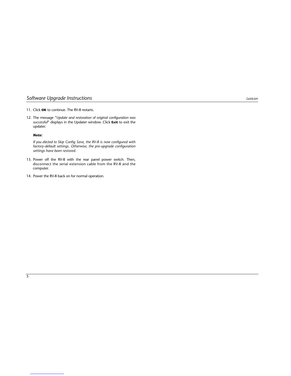## *Software Upgrade Instructions Lexicon*

- 11. Click **OK** to continue. The RV-8 restarts.
- 12. The message "*Update and restoration of original configuration was successful*" displays in the Updater window. Click **Exit** to exit the updater.

#### *Note:*

*If you elected to Skip Config Save, the RV-8 is now configured with factory-default settings. Otherwise, the pre-upgrade configuration settings have been restored.*

- 13. Power off the RV-8 with the rear panel power switch. Then, disconnect the serial extension cable from the RV-8 and the computer.
- 14. Power the RV-8 back on for normal operation.